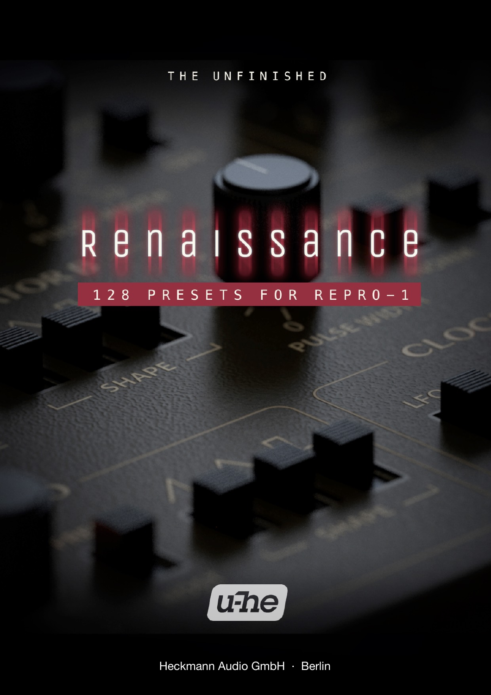THE UNFINISHED

# Renaissance

### 128 PRESETS FOR REPRO-1

**SIZIR** 



Heckmann Audio GmbH · Berlin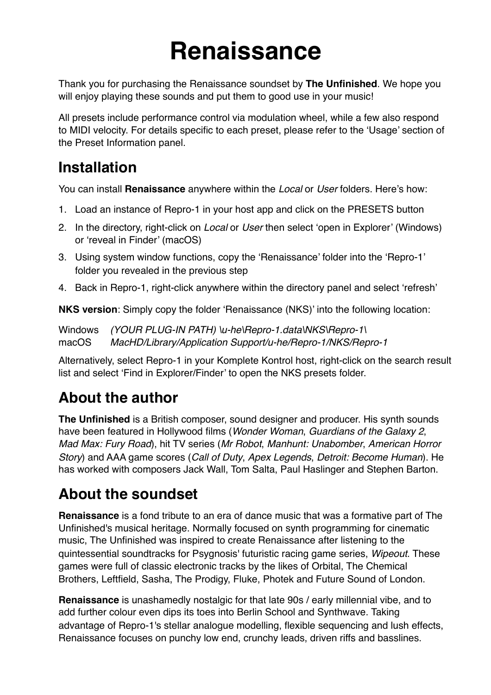# **Renaissance**

Thank you for purchasing the Renaissance soundset by **The Unfinished**. We hope you will enjoy playing these sounds and put them to good use in your music!

All presets include performance control via modulation wheel, while a few also respond to MIDI velocity. For details specific to each preset, please refer to the 'Usage' section of the Preset Information panel.

### **Installation**

You can install **Renaissance** anywhere within the *Local* or *User* folders. Here's how:

- 1. Load an instance of Repro-1 in your host app and click on the PRESETS button
- 2. In the directory, right-click on *Local* or *User* then select 'open in Explorer' (Windows) or 'reveal in Finder' (macOS)
- 3. Using system window functions, copy the 'Renaissance' folder into the 'Repro-1' folder you revealed in the previous step
- 4. Back in Repro-1, right-click anywhere within the directory panel and select 'refresh'

**NKS version**: Simply copy the folder 'Renaissance (NKS)' into the following location:

Windows *(YOUR PLUG-IN PATH) \u-he\Repro-1.data\NKS\Repro-1\*  macOS *MacHD/Library/Application Support/u-he/Repro-1/NKS/Repro-1*

Alternatively, select Repro-1 in your Komplete Kontrol host, right-click on the search result list and select 'Find in Explorer/Finder' to open the NKS presets folder.

### **About the author**

**The Unfinished** is a British composer, sound designer and producer. His synth sounds have been featured in Hollywood films (*Wonder Woman*, *Guardians of the Galaxy 2*, *Mad Max: Fury Road*), hit TV series (*Mr Robot*, *Manhunt: Unabomber*, *American Horror Story*) and AAA game scores (*Call of Duty*, *Apex Legends*, *Detroit: Become Human*). He has worked with composers Jack Wall, Tom Salta, Paul Haslinger and Stephen Barton.

### **About the soundset**

**Renaissance** is a fond tribute to an era of dance music that was a formative part of The Unfinished's musical heritage. Normally focused on synth programming for cinematic music, The Unfinished was inspired to create Renaissance after listening to the quintessential soundtracks for Psygnosis' futuristic racing game series, *Wipeout*. These games were full of classic electronic tracks by the likes of Orbital, The Chemical Brothers, Leftfield, Sasha, The Prodigy, Fluke, Photek and Future Sound of London.

**Renaissance** is unashamedly nostalgic for that late 90s / early millennial vibe, and to add further colour even dips its toes into Berlin School and Synthwave. Taking advantage of Repro-1's stellar analogue modelling, flexible sequencing and lush effects, Renaissance focuses on punchy low end, crunchy leads, driven riffs and basslines.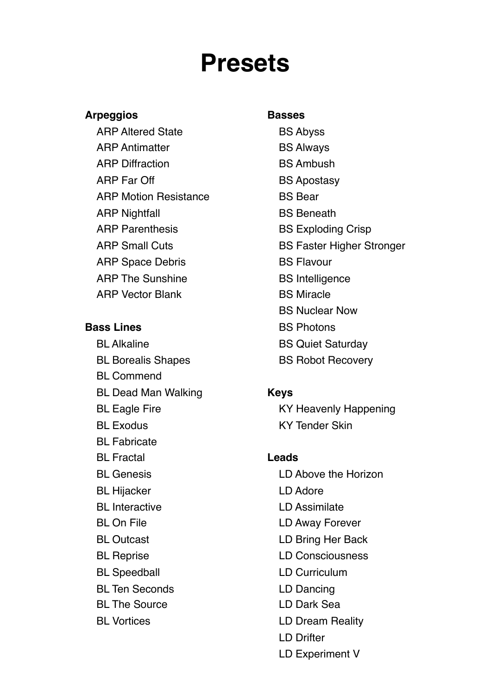## **Presets**

### **Arpeggios Basses**

ARP Altered State BS Abyss ARP Antimatter BS Always ARP Diffraction BS Ambush ARP Far Off BS Apostasy ARP Motion Resistance BS Bear ARP Nightfall **BS** Beneath ARP Parenthesis BS Exploding Crisp ARP Space Debris BS Flavour ARP The Sunshine BS Intelligence

- BL Commend BL Dead Man Walking **Keys** BL Exodus KY Tender Skin BL Fabricate BL Fractal **Leads** BL Hijacker LD Adore BL Interactive **LD** Assimilate BL On File **LD Away Forever** BL Outcast **LD Bring Her Back** BL Reprise LD Consciousness
- 
- 
- 
- 

- 
- 
- 
- 
- 
- 
- 
- ARP Small Cuts BS Faster Higher Stronger
	-
	-
- ARP Vector Blank BS Miracle
	- BS Nuclear Now
- **Bass Lines** BS Photons
	- BL Alkaline BS Quiet Saturday
	- BL Borealis Shapes BS Robot Recovery

BL Eagle Fire KY Heavenly Happening

- BL Genesis LD Above the Horizon
	-
	-
	-
	-
	-
- BL Speedball **LD Curriculum**
- BL Ten Seconds LD Dancing
- BL The Source LD Dark Sea
- BL Vortices **LD Dream Reality** 
	- LD Drifter
	- LD Experiment V